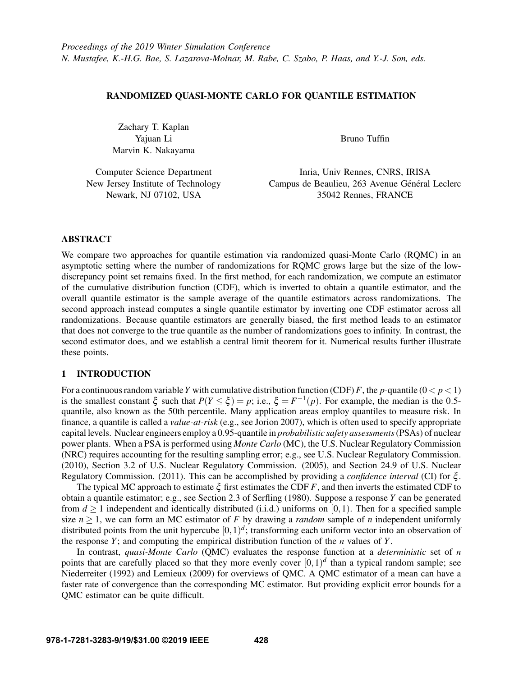# RANDOMIZED QUASI-MONTE CARLO FOR QUANTILE ESTIMATION

Zachary T. Kaplan Yajuan Li Marvin K. Nakayama

Bruno Tuffin

Computer Science Department New Jersey Institute of Technology Newark, NJ 07102, USA

Inria, Univ Rennes, CNRS, IRISA Campus de Beaulieu, 263 Avenue Général Leclerc 35042 Rennes, FRANCE

# ABSTRACT

We compare two approaches for quantile estimation via randomized quasi-Monte Carlo (RQMC) in an asymptotic setting where the number of randomizations for RQMC grows large but the size of the lowdiscrepancy point set remains fixed. In the first method, for each randomization, we compute an estimator of the cumulative distribution function (CDF), which is inverted to obtain a quantile estimator, and the overall quantile estimator is the sample average of the quantile estimators across randomizations. The second approach instead computes a single quantile estimator by inverting one CDF estimator across all randomizations. Because quantile estimators are generally biased, the first method leads to an estimator that does not converge to the true quantile as the number of randomizations goes to infinity. In contrast, the second estimator does, and we establish a central limit theorem for it. Numerical results further illustrate these points.

# 1 INTRODUCTION

For a continuous random variable *Y* with cumulative distribution function (CDF) *F*, the *p*-quantile  $(0 < p < 1)$ is the smallest constant  $\xi$  such that  $P(Y \le \xi) = p$ ; i.e.,  $\xi = F^{-1}(p)$ . For example, the median is the 0.5quantile, also known as the 50th percentile. Many application areas employ quantiles to measure risk. In finance, a quantile is called a *value-at-risk* (e.g., see [Jorion 2007\)](#page-10-0), which is often used to specify appropriate capital levels. Nuclear engineers employ a 0.95-quantile in *probabilistic safety assessments*(PSAs) of nuclear power plants. When a PSA is performed using *Monte Carlo* (MC), the U.S. Nuclear Regulatory Commission (NRC) requires accounting for the resulting sampling error; e.g., see [U.S. Nuclear Regulatory Commission.](#page-11-0) [\(2010\),](#page-11-0) Section 3.2 of [U.S. Nuclear Regulatory Commission. \(2005\),](#page-11-1) and Section 24.9 of [U.S. Nuclear](#page-11-2) [Regulatory Commission. \(2011\).](#page-11-2) This can be accomplished by providing a *confidence interval* (CI) for ξ .

The typical MC approach to estimate  $\xi$  first estimates the CDF  $F$ , and then inverts the estimated CDF to obtain a quantile estimator; e.g., see Section 2.3 of [Serfling \(1980\).](#page-11-3) Suppose a response *Y* can be generated from  $d > 1$  independent and identically distributed (i.i.d.) uniforms on [0,1). Then for a specified sample size  $n \geq 1$ , we can form an MC estimator of F by drawing a *random* sample of *n* independent uniformly distributed points from the unit hypercube  $[0,1)^d$ ; transforming each uniform vector into an observation of the response  $Y$ ; and computing the empirical distribution function of the  $n$  values of  $Y$ .

In contrast, *quasi-Monte Carlo* (QMC) evaluates the response function at a *deterministic* set of *n* points that are carefully placed so that they more evenly cover  $[0,1)^d$  than a typical random sample; see [Niederreiter \(1992\)](#page-11-4) and [Lemieux \(2009\)](#page-10-1) for overviews of QMC. A QMC estimator of a mean can have a faster rate of convergence than the corresponding MC estimator. But providing explicit error bounds for a QMC estimator can be quite difficult.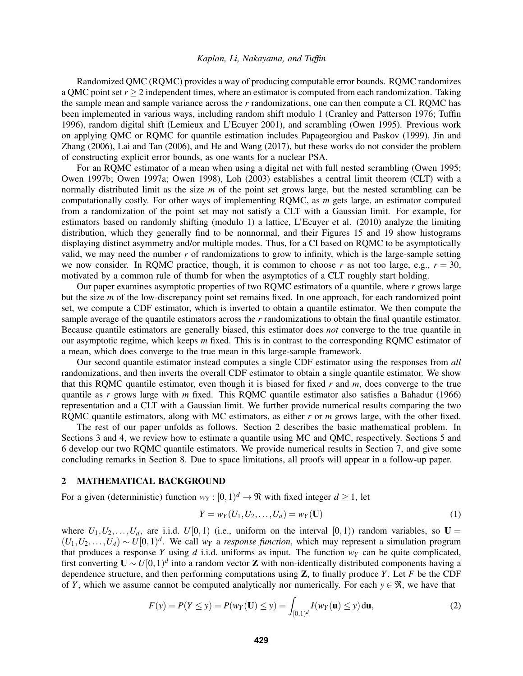Randomized QMC (RQMC) provides a way of producing computable error bounds. RQMC randomizes a QMC point set  $r > 2$  independent times, where an estimator is computed from each randomization. Taking the sample mean and sample variance across the *r* randomizations, one can then compute a CI. RQMC has been implemented in various ways, including random shift modulo 1 [\(Cranley and Patterson 1976;](#page-10-2) [Tuffin](#page-11-5) [1996\)](#page-11-5), random digital shift [\(Lemieux and L'Ecuyer 2001\)](#page-10-3), and scrambling [\(Owen 1995\)](#page-11-6). Previous work on applying QMC or RQMC for quantile estimation includes [Papageorgiou and Paskov \(1999\),](#page-11-7) [Jin and](#page-10-4) [Zhang \(2006\),](#page-10-4) [Lai and Tan \(2006\),](#page-10-5) and [He and Wang \(2017\),](#page-10-6) but these works do not consider the problem of constructing explicit error bounds, as one wants for a nuclear PSA.

For an RQMC estimator of a mean when using a digital net with full nested scrambling [\(Owen 1995;](#page-11-6) [Owen 1997b;](#page-11-8) [Owen 1997a;](#page-11-9) [Owen 1998\)](#page-11-10), [Loh \(2003\)](#page-11-11) establishes a central limit theorem (CLT) with a normally distributed limit as the size *m* of the point set grows large, but the nested scrambling can be computationally costly. For other ways of implementing RQMC, as *m* gets large, an estimator computed from a randomization of the point set may not satisfy a CLT with a Gaussian limit. For example, for estimators based on randomly shifting (modulo 1) a lattice, [L'Ecuyer et al. \(2010\)](#page-10-7) analyze the limiting distribution, which they generally find to be nonnormal, and their Figures 15 and 19 show histograms displaying distinct asymmetry and/or multiple modes. Thus, for a CI based on RQMC to be asymptotically valid, we may need the number  $r$  of randomizations to grow to infinity, which is the large-sample setting we now consider. In RQMC practice, though, it is common to choose  $r$  as not too large, e.g.,  $r = 30$ , motivated by a common rule of thumb for when the asymptotics of a CLT roughly start holding.

Our paper examines asymptotic properties of two RQMC estimators of a quantile, where *r* grows large but the size *m* of the low-discrepancy point set remains fixed. In one approach, for each randomized point set, we compute a CDF estimator, which is inverted to obtain a quantile estimator. We then compute the sample average of the quantile estimators across the *r* randomizations to obtain the final quantile estimator. Because quantile estimators are generally biased, this estimator does *not* converge to the true quantile in our asymptotic regime, which keeps *m* fixed. This is in contrast to the corresponding RQMC estimator of a mean, which does converge to the true mean in this large-sample framework.

Our second quantile estimator instead computes a single CDF estimator using the responses from *all* randomizations, and then inverts the overall CDF estimator to obtain a single quantile estimator. We show that this RQMC quantile estimator, even though it is biased for fixed *r* and *m*, does converge to the true quantile as *r* grows large with *m* fixed. This RQMC quantile estimator also satisfies a [Bahadur \(1966\)](#page-10-8) representation and a CLT with a Gaussian limit. We further provide numerical results comparing the two RQMC quantile estimators, along with MC estimators, as either *r* or *m* grows large, with the other fixed.

The rest of our paper unfolds as follows. Section [2](#page-1-0) describes the basic mathematical problem. In Sections [3](#page-2-0) and [4,](#page-4-0) we review how to estimate a quantile using MC and QMC, respectively. Sections [5](#page-5-0) and [6](#page-7-0) develop our two RQMC quantile estimators. We provide numerical results in Section [7,](#page-8-0) and give some concluding remarks in Section [8.](#page-10-9) Due to space limitations, all proofs will appear in a follow-up paper.

#### <span id="page-1-0"></span>2 MATHEMATICAL BACKGROUND

For a given (deterministic) function  $w_Y : [0,1)^d \to \Re$  with fixed integer  $d \ge 1$ , let

<span id="page-1-2"></span>
$$
Y = w_Y(U_1, U_2, \dots, U_d) = w_Y(\mathbf{U})
$$
\n(1)

where  $U_1, U_2, \ldots, U_d$ , are i.i.d.  $U[0,1)$  (i.e., uniform on the interval  $[0,1)$ ) random variables, so  $U =$  $(U_1, U_2, \ldots, U_d) \sim U[0, 1)^d$ . We call *w<sub>Y</sub>* a *response function*, which may represent a simulation program that produces a response *Y* using *d* i.i.d. uniforms as input. The function  $w<sub>Y</sub>$  can be quite complicated, first converting  $U \sim U[0,1)^d$  into a random vector **Z** with non-identically distributed components having a dependence structure, and then performing computations using Z, to finally produce *Y*. Let *F* be the CDF of *Y*, which we assume cannot be computed analytically nor numerically. For each  $y \in \mathcal{R}$ , we have that

<span id="page-1-1"></span>
$$
F(y) = P(Y \le y) = P(w_Y(\mathbf{U}) \le y) = \int_{[0,1)^d} I(w_Y(\mathbf{u}) \le y) d\mathbf{u},\tag{2}
$$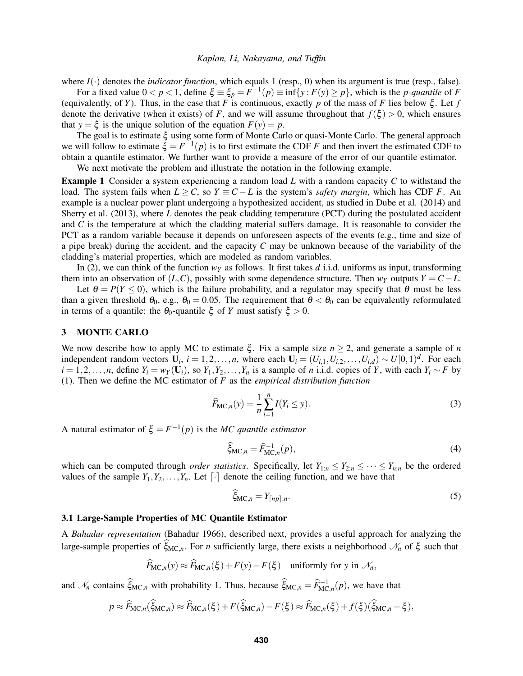where  $I(\cdot)$  denotes the *indicator function*, which equals 1 (resp., 0) when its argument is true (resp., false).

For a fixed value  $0 < p < 1$ , define  $\xi \equiv \xi_p = F^{-1}(p) \equiv \inf\{y : F(y) \ge p\}$ , which is the *p-quantile* of *F* (equivalently, of *Y*). Thus, in the case that *F* is continuous, exactly *p* of the mass of *F* lies below  $\xi$ . Let *f* denote the derivative (when it exists) of *F*, and we will assume throughout that  $f(\xi) > 0$ , which ensures that  $y = \xi$  is the unique solution of the equation  $F(y) = p$ .

The goal is to estimate ξ using some form of Monte Carlo or quasi-Monte Carlo. The general approach we will follow to estimate  $\xi = F^{-1}(p)$  is to first estimate the CDF *F* and then invert the estimated CDF to obtain a quantile estimator. We further want to provide a measure of the error of our quantile estimator. We next motivate the problem and illustrate the notation in the following example.

<span id="page-2-4"></span>Example 1 Consider a system experiencing a random load *L* with a random capacity *C* to withstand the load. The system fails when  $L \ge C$ , so  $Y \equiv C - L$  is the system's *safety margin*, which has CDF *F*. An example is a nuclear power plant undergoing a hypothesized accident, as studied in [Dube et al. \(2014\)](#page-10-10) and [Sherry et al. \(2013\),](#page-11-12) where *L* denotes the peak cladding temperature (PCT) during the postulated accident and *C* is the temperature at which the cladding material suffers damage. It is reasonable to consider the PCT as a random variable because it depends on unforeseen aspects of the events (e.g., time and size of a pipe break) during the accident, and the capacity *C* may be unknown because of the variability of the cladding's material properties, which are modeled as random variables.

In [\(2\)](#page-1-1), we can think of the function  $w<sub>y</sub>$  as follows. It first takes *d* i.i.d. uniforms as input, transforming them into an observation of  $(L, C)$ , possibly with some dependence structure. Then  $w<sub>Y</sub>$  outputs  $Y = C - L$ .

Let  $\theta = P(Y \le 0)$ , which is the failure probability, and a regulator may specify that  $\theta$  must be less than a given threshold  $\theta_0$ , e.g.,  $\theta_0 = 0.05$ . The requirement that  $\theta < \theta_0$  can be equivalently reformulated in terms of a quantile: the  $\theta_0$ -quantile  $\xi$  of *Y* must satisfy  $\xi > 0$ .

#### <span id="page-2-0"></span>3 MONTE CARLO

We now describe how to apply MC to estimate  $\xi$ . Fix a sample size  $n > 2$ , and generate a sample of *n* independent random vectors  $\mathbf{U}_i$ ,  $i = 1, 2, ..., n$ , where each  $\mathbf{U}_i = (U_{i,1}, U_{i,2}, ..., U_{i,d}) \sim U[0,1)^d$ . For each  $i = 1, 2, \ldots, n$ , define  $Y_i = w_Y(\mathbf{U}_i)$ , so  $Y_1, Y_2, \ldots, Y_n$  is a sample of *n* i.i.d. copies of *Y*, with each  $Y_i \sim F$  by [\(1\)](#page-1-2). Then we define the MC estimator of *F* as the *empirical distribution function*

<span id="page-2-1"></span>
$$
\widehat{F}_{\mathsf{MC},n}(y) = \frac{1}{n} \sum_{i=1}^{n} I(Y_i \le y).
$$
\n(3)

A natural estimator of  $\xi = F^{-1}(p)$  is the *MC quantile estimator* 

<span id="page-2-2"></span>
$$
\widehat{\xi}_{\mathrm{MC},n} = \widehat{F}_{\mathrm{MC},n}^{-1}(p),\tag{4}
$$

which can be computed through *order statistics*. Specifically, let  $Y_{1:n} \leq Y_{2:n} \leq \cdots \leq Y_{n:n}$  be the ordered values of the sample  $Y_1, Y_2, \ldots, Y_n$ . Let  $\lceil \cdot \rceil$  denote the ceiling function, and we have that

<span id="page-2-3"></span>
$$
\widehat{\xi}_{\mathrm{MC},n} = Y_{\lceil np \rceil:n}.\tag{5}
$$

#### 3.1 Large-Sample Properties of MC Quantile Estimator

A *Bahadur representation* [\(Bahadur 1966\)](#page-10-8), described next, provides a useful approach for analyzing the large-sample properties of  $\hat{\xi}_{MC,n}$ . For *n* sufficiently large, there exists a neighborhood  $\mathcal{N}_n$  of  $\xi$  such that

$$
\widehat{F}_{\mathsf{MC},n}(y) \approx \widehat{F}_{\mathsf{MC},n}(\xi) + F(y) - F(\xi) \quad \text{uniformly for } y \text{ in } \mathcal{N}_n,
$$

and  $\mathcal{N}_n$  contains  $\hat{\xi}_{MC,n}$  with probability 1. Thus, because  $\hat{\xi}_{MC,n} = \hat{F}_{MC,n}^{-1}(p)$ , we have that

$$
p \approx \widehat{F}_{\mathrm{MC},n}(\widehat{\xi}_{\mathrm{MC},n}) \approx \widehat{F}_{\mathrm{MC},n}(\xi) + F(\widehat{\xi}_{\mathrm{MC},n}) - F(\xi) \approx \widehat{F}_{\mathrm{MC},n}(\xi) + f(\xi)(\widehat{\xi}_{\mathrm{MC},n} - \xi),
$$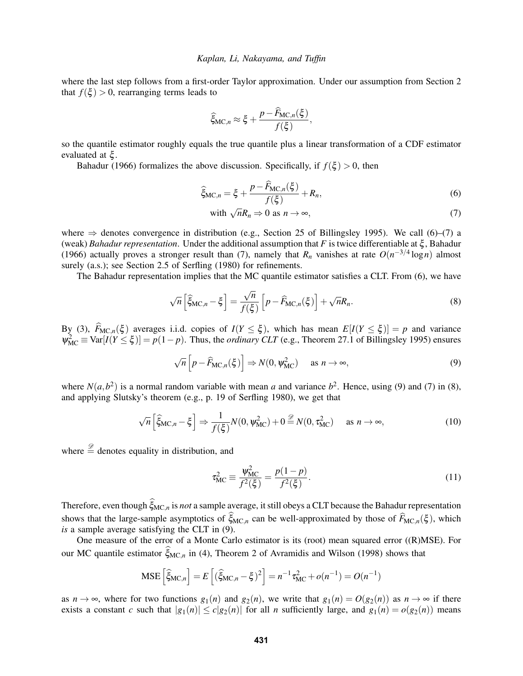where the last step follows from a first-order Taylor approximation. Under our assumption from Section [2](#page-1-0) that  $f(\xi) > 0$ , rearranging terms leads to

$$
\widehat{\xi}_{\mathrm{MC},n} \approx \xi + \frac{p - \widehat{F}_{\mathrm{MC},n}(\xi)}{f(\xi)},
$$

so the quantile estimator roughly equals the true quantile plus a linear transformation of a CDF estimator evaluated at ξ .

[Bahadur \(1966\)](#page-10-8) formalizes the above discussion. Specifically, if  $f(\xi) > 0$ , then

$$
\widehat{\xi}_{\mathrm{MC},n} = \xi + \frac{p - \widehat{F}_{\mathrm{MC},n}(\xi)}{f(\xi)} + R_n,\tag{6}
$$

<span id="page-3-3"></span><span id="page-3-1"></span><span id="page-3-0"></span>with 
$$
\sqrt{n}R_n \Rightarrow 0
$$
 as  $n \to \infty$ , (7)

where  $\Rightarrow$  denotes convergence in distribution (e.g., Section 25 of [Billingsley 1995\)](#page-10-11). We call [\(6\)](#page-3-0)–[\(7\)](#page-3-1) a (weak) *Bahadur representation*. Under the additional assumption that *F* is twice differentiable at ξ , [Bahadur](#page-10-8) [\(1966\)](#page-10-8) actually proves a stronger result than [\(7\)](#page-3-1), namely that  $R_n$  vanishes at rate  $O(n^{-3/4} \log n)$  almost surely (a.s.); see Section 2.5 of [Serfling \(1980\)](#page-11-3) for refinements.

The Bahadur representation implies that the MC quantile estimator satisfies a CLT. From [\(6\)](#page-3-0), we have

$$
\sqrt{n}\left[\widehat{\xi}_{\mathrm{MC},n} - \xi\right] = \frac{\sqrt{n}}{f(\xi)}\left[p - \widehat{F}_{\mathrm{MC},n}(\xi)\right] + \sqrt{n}R_n. \tag{8}
$$

By [\(3\)](#page-2-1),  $F_{\text{MC},n}(\xi)$  averages i.i.d. copies of  $I(Y \leq \xi)$ , which has mean  $E[I(Y \leq \xi)] = p$  and variance  $\psi_{\text{MC}}^2 \equiv \text{Var}[I(Y \leq \xi)] = p(1-p)$ . Thus, the *ordinary CLT* (e.g., Theorem 27.1 of [Billingsley 1995\)](#page-10-11) ensures

<span id="page-3-2"></span>
$$
\sqrt{n}\left[p - \widehat{F}_{\text{MC},n}(\xi)\right] \Rightarrow N(0, \psi_{\text{MC}}^2) \quad \text{as } n \to \infty,
$$
\n(9)

where  $N(a, b^2)$  is a normal random variable with mean *a* and variance  $b^2$ . Hence, using [\(9\)](#page-3-2) and [\(7\)](#page-3-1) in [\(8\)](#page-3-3), and applying Slutsky's theorem (e.g., p. 19 of [Serfling 1980\)](#page-11-3), we get that

<span id="page-3-5"></span>
$$
\sqrt{n}\left[\widehat{\xi}_{\text{MC},n} - \xi\right] \Rightarrow \frac{1}{f(\xi)}N(0, \psi_{\text{MC}}^2) + 0 \stackrel{\mathscr{D}}{=} N(0, \tau_{\text{MC}}^2) \quad \text{as } n \to \infty,
$$
\n(10)

where  $\stackrel{\mathscr{D}}{=}$  denotes equality in distribution, and

<span id="page-3-4"></span>
$$
\tau_{\text{MC}}^2 \equiv \frac{\psi_{\text{MC}}^2}{f^2(\xi)} = \frac{p(1-p)}{f^2(\xi)}.
$$
\n(11)

Therefore, even though  $\hat{\xi}_{MC,n}$  is *not* a sample average, it still obeys a CLT because the Bahadur representation shows that the large-sample asymptotics of  $\hat{\xi}_{MC,n}$  can be well-approximated by those of  $\hat{F}_{MC,n}(\xi)$ , which *is* a sample average satisfying the CLT in [\(9\)](#page-3-2).

One measure of the error of a Monte Carlo estimator is its (root) mean squared error ((R)MSE). For our MC quantile estimator  $\widetilde{\xi}_{MC,n}$  in [\(4\)](#page-2-2), Theorem 2 of [Avramidis and Wilson \(1998\)](#page-10-12) shows that

$$
\text{MSE}\left[\hat{\xi}_{\text{MC},n}\right] = E\left[(\hat{\xi}_{\text{MC},n} - \xi)^2\right] = n^{-1}\tau_{\text{MC}}^2 + o(n^{-1}) = O(n^{-1})
$$

as  $n \to \infty$ , where for two functions  $g_1(n)$  and  $g_2(n)$ , we write that  $g_1(n) = O(g_2(n))$  as  $n \to \infty$  if there exists a constant *c* such that  $|g_1(n)| \le c|g_2(n)|$  for all *n* sufficiently large, and  $g_1(n) = o(g_2(n))$  means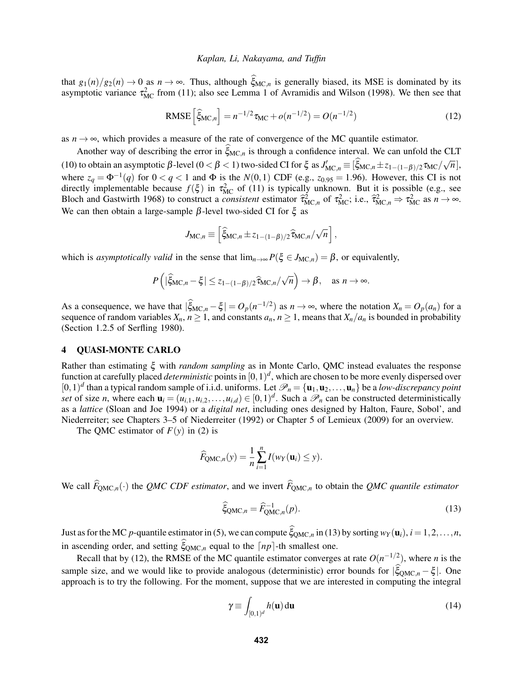that  $g_1(n)/g_2(n) \to 0$  as  $n \to \infty$ . Thus, although  $\xi_{MC,n}$  is generally biased, its MSE is dominated by its asymptotic variance  $\tau_{MC}^2$  from [\(11\)](#page-3-4); also see Lemma 1 of [Avramidis and Wilson \(1998\).](#page-10-12) We then see that

<span id="page-4-2"></span>RMSE 
$$
\left[\hat{\xi}_{MC,n}\right] = n^{-1/2}\tau_{MC} + o(n^{-1/2}) = O(n^{-1/2})
$$
 (12)

as  $n \to \infty$ , which provides a measure of the rate of convergence of the MC quantile estimator.

Another way of describing the error in  $\hat{\xi}_{MC,n}$  is through a confidence interval. We can unfold the CLT [\(10\)](#page-3-5) to obtain an asymptotic  $\beta$ -level ( $0 < \beta < 1$ ) two-sided CI for  $\xi$  as  $J'_{MC,n} \equiv [\hat{\xi}_{MC,n} \pm z_{1-(1-\beta)/2} \tau_{MC}/\sqrt{n}]$ , where  $z_q = \Phi^{-1}(q)$  for  $0 < q < 1$  and  $\Phi$  is the  $N(0, 1)$  CDF (e.g.,  $z_{0.95} = 1.96$ ). However, this CI is not directly implementable because  $f(\xi)$  in  $\tau_{MC}^2$  of [\(11\)](#page-3-4) is typically unknown. But it is possible (e.g., see [Bloch and Gastwirth 1968\)](#page-10-13) to construct a *consistent* estimator  $\hat{\tau}_{MC,n}^2$  of  $\tau_{MC}^2$ ; i.e.,  $\hat{\tau}_{MC,n}^2 \Rightarrow \tau_{MC}^2$  as  $n \to \infty$ . We can then obtain a large-sample  $β$ -level two-sided CI for  $ξ$  as

$$
J_{\text{MC},n} \equiv \left[ \widehat{\xi}_{\text{MC},n} \pm z_{1-(1-\beta)/2} \widehat{\tau}_{\text{MC},n} / \sqrt{n} \right],
$$

which is *asymptotically valid* in the sense that  $\lim_{n\to\infty} P(\xi \in J_{MC,n}) = \beta$ , or equivalently,

$$
P\left(|\widehat{\xi}_{\mathrm{MC},n}-\xi| \leq z_{1-(1-\beta)/2} \widehat{\tau}_{\mathrm{MC},n}/\sqrt{n}\right) \to \beta, \quad \text{as } n \to \infty.
$$

As a consequence, we have that  $|\xi_{MC,n} - \xi| = O_p(n^{-1/2})$  as  $n \to \infty$ , where the notation  $X_n = O_p(a_n)$  for a sequence of random variables  $X_n$ ,  $n \ge 1$ , and constants  $a_n$ ,  $n \ge 1$ , means that  $X_n/a_n$  is bounded in probability (Section 1.2.5 of [Serfling 1980\)](#page-11-3).

## <span id="page-4-0"></span>4 QUASI-MONTE CARLO

Rather than estimating ξ with *random sampling* as in Monte Carlo, QMC instead evaluates the response function at carefully placed *deterministic* points in  $[0,1)^d$ , which are chosen to be more evenly dispersed over  $[0,1)^d$  than a typical random sample of i.i.d. uniforms. Let  $\mathcal{P}_n = \{\mathbf{u}_1,\mathbf{u}_2,\ldots,\mathbf{u}_n\}$  be a *low-discrepancy point set* of size *n*, where each  $\mathbf{u}_i = (u_{i,1}, u_{i,2}, \dots, u_{i,d}) \in [0,1)^d$ . Such a  $\mathcal{P}_n$  can be constructed deterministically as a *lattice* [\(Sloan and Joe 1994\)](#page-11-13) or a *digital net*, including ones designed by Halton, Faure, Sobol', and Niederreiter; see Chapters 3–5 of [Niederreiter \(1992\)](#page-11-4) or Chapter 5 of [Lemieux \(2009\)](#page-10-1) for an overview.

The QMC estimator of  $F(y)$  in [\(2\)](#page-1-1) is

$$
\widehat{F}_{\text{QMC},n}(y) = \frac{1}{n} \sum_{i=1}^{n} I(w_Y(\mathbf{u}_i) \leq y).
$$

We call  $\widehat{F}_{\text{OMC},n}(\cdot)$  the *QMC CDF estimator*, and we invert  $\widehat{F}_{\text{OMC},n}$  to obtain the *QMC quantile estimator* 

<span id="page-4-1"></span>
$$
\widehat{\xi}_{\text{QMC},n} = \widehat{F}_{\text{QMC},n}^{-1}(p). \tag{13}
$$

Just as for the MC *p*-quantile estimator in [\(5\)](#page-2-3), we can compute  $\hat{\xi}_{OMC,n}$  in [\(13\)](#page-4-1) by sorting  $w_Y(\mathbf{u}_i)$ ,  $i = 1,2,\ldots,n$ , in ascending order, and setting  $\hat{\xi}_{\text{OMC},n}$  equal to the  $\lceil np \rceil$ -th smallest one.

Recall that by [\(12\)](#page-4-2), the RMSE of the MC quantile estimator converges at rate  $O(n^{-1/2})$ , where *n* is the sample size, and we would like to provide analogous (deterministic) error bounds for  $|\xi_{\text{QMC},n} - \xi|$ . One approach is to try the following. For the moment, suppose that we are interested in computing the integral

<span id="page-4-3"></span>
$$
\gamma \equiv \int_{[0,1)^d} h(\mathbf{u}) \, \mathrm{d}\mathbf{u} \tag{14}
$$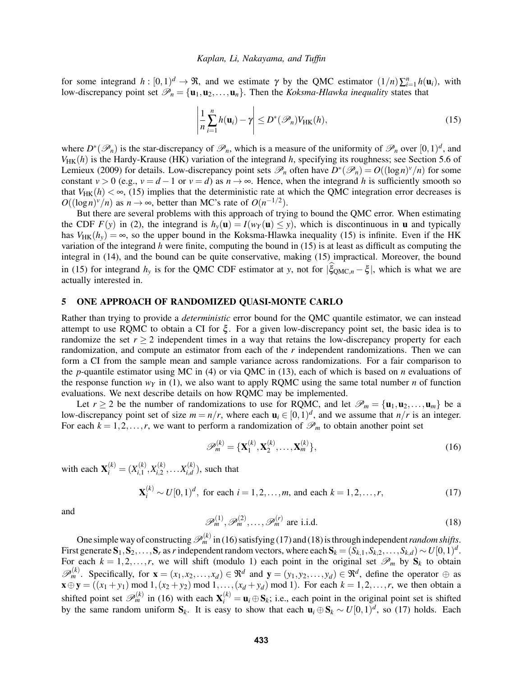for some integrand  $h : [0,1]^d \to \mathfrak{R}$ , and we estimate  $\gamma$  by the QMC estimator  $(1/n)\sum_{i=1}^n h(\mathbf{u}_i)$ , with low-discrepancy point set  $\mathcal{P}_n = {\mathbf{u}_1, \mathbf{u}_2, ..., \mathbf{u}_n}$ . Then the *Koksma-Hlawka inequality* states that

<span id="page-5-1"></span>
$$
\left|\frac{1}{n}\sum_{i=1}^{n}h(\mathbf{u}_{i})-\gamma\right|\leq D^{*}(\mathscr{P}_{n})V_{\mathrm{HK}}(h),\tag{15}
$$

where  $D^*(\mathscr{P}_n)$  is the star-discrepancy of  $\mathscr{P}_n$ , which is a measure of the uniformity of  $\mathscr{P}_n$  over  $[0,1)^d$ , and  $V_{HK}(h)$  is the Hardy-Krause (HK) variation of the integrand  $h$ , specifying its roughness; see Section 5.6 of [Lemieux \(2009\)](#page-10-1) for details. Low-discrepancy point sets  $\mathcal{P}_n$  often have  $D^*(\mathcal{P}_n) = O((\log n)^v/n)$  for some constant  $v > 0$  (e.g.,  $v = d - 1$  or  $v = d$ ) as  $n \to \infty$ . Hence, when the integrand *h* is sufficiently smooth so that  $V_{HK}(h) < \infty$ , [\(15\)](#page-5-1) implies that the deterministic rate at which the QMC integration error decreases is  $O((\log n)^v/n)$  as  $n \to \infty$ , better than MC's rate of  $O(n^{-1/2})$ .

But there are several problems with this approach of trying to bound the QMC error. When estimating the CDF  $F(y)$  in [\(2\)](#page-1-1), the integrand is  $h_y(\mathbf{u}) = I(w_f(\mathbf{u}) \le y)$ , which is discontinuous in **u** and typically has  $V_{HK}(h_v) = \infty$ , so the upper bound in the Koksma-Hlawka inequality [\(15\)](#page-5-1) is infinite. Even if the HK variation of the integrand *h* were finite, computing the bound in [\(15\)](#page-5-1) is at least as difficult as computing the integral in [\(14\)](#page-4-3), and the bound can be quite conservative, making [\(15\)](#page-5-1) impractical. Moreover, the bound in [\(15\)](#page-5-1) for integrand  $h_y$  is for the QMC CDF estimator at *y*, not for  $|\xi_{\text{QMC},n} - \xi|$ , which is what we are actually interested in.

### <span id="page-5-0"></span>5 ONE APPROACH OF RANDOMIZED QUASI-MONTE CARLO

Rather than trying to provide a *deterministic* error bound for the QMC quantile estimator, we can instead attempt to use RQMC to obtain a CI for ξ . For a given low-discrepancy point set, the basic idea is to randomize the set  $r > 2$  independent times in a way that retains the low-discrepancy property for each randomization, and compute an estimator from each of the *r* independent randomizations. Then we can form a CI from the sample mean and sample variance across randomizations. For a fair comparison to the *p*-quantile estimator using MC in [\(4\)](#page-2-2) or via QMC in [\(13\)](#page-4-1), each of which is based on *n* evaluations of the response function  $w<sub>Y</sub>$  in [\(1\)](#page-1-2), we also want to apply RQMC using the same total number *n* of function evaluations. We next describe details on how RQMC may be implemented.

Let  $r \ge 2$  be the number of randomizations to use for RQMC, and let  $\mathscr{P}_m = {\mathbf{u}_1, \mathbf{u}_2, ..., \mathbf{u}_m}$  be a low-discrepancy point set of size  $m = n/r$ , where each  $\mathbf{u}_i \in [0,1)^d$ , and we assume that  $n/r$  is an integer. For each  $k = 1, 2, ..., r$ , we want to perform a randomization of  $\mathcal{P}_m$  to obtain another point set

<span id="page-5-2"></span>
$$
\mathscr{P}_m^{(k)} = \{ \mathbf{X}_1^{(k)}, \mathbf{X}_2^{(k)}, \dots, \mathbf{X}_m^{(k)} \},\tag{16}
$$

with each  $X_i^{(k)} = (X_{i,1}^{(k)})$  $X_{i,1}^{(k)}, X_{i,2}^{(k)}$  $X_{i,2}^{(k)}, \ldots X_{i,d}^{(k)}$  $\binom{k}{i,d}$ , such that

<span id="page-5-3"></span>
$$
\mathbf{X}_i^{(k)} \sim U[0,1)^d, \text{ for each } i = 1,2,\dots,m, \text{ and each } k = 1,2,\dots,r,
$$
 (17)

and

<span id="page-5-4"></span>
$$
\mathscr{P}_m^{(1)}, \mathscr{P}_m^{(2)}, \dots, \mathscr{P}_m^{(r)} \text{ are i.i.d.}
$$
\n
$$
(18)
$$

One simple way of constructing  $\mathscr{P}_m^{(k)}$  in [\(16\)](#page-5-2) satisfying [\(17\)](#page-5-3) and [\(18\)](#page-5-4) is through independent *random shifts*. First generate  $S_1, S_2, \ldots, S_r$  as *r* independent random vectors, where each  $S_k = (S_{k,1}, S_{k,2}, \ldots, S_{k,d}) \sim U[0,1)^d$ . For each  $k = 1, 2, \ldots, r$ , we will shift (modulo 1) each point in the original set  $\mathscr{P}_m$  by  $S_k$  to obtain  $\mathscr{P}_m^{(k)}$ . Specifically, for  $\mathbf{x} = (x_1, x_2, \dots, x_d) \in \Re^d$  and  $\mathbf{y} = (y_1, y_2, \dots, y_d) \in \Re^d$ , define the operator  $\oplus$  as  $\mathbf{x} \oplus \mathbf{y} = ((x_1 + y_1) \text{ mod } 1, (x_2 + y_2) \text{ mod } 1, ..., (x_d + y_d) \text{ mod } 1).$  For each  $k = 1, 2, ..., r$ , we then obtain a shifted point set  $\mathcal{P}_m^{(k)}$  in [\(16\)](#page-5-2) with each  $\mathbf{X}_i^{(k)} = \mathbf{u}_i \oplus \mathbf{S}_k$ ; i.e., each point in the original point set is shifted by the same random uniform  $S_k$ . It is easy to show that each  $\mathbf{u}_i \oplus S_k \sim U[0,1)^d$ , so [\(17\)](#page-5-3) holds. Each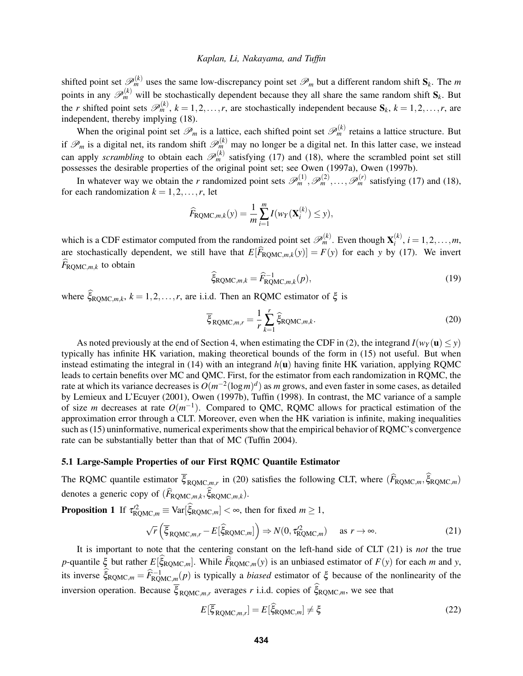shifted point set  $\mathscr{P}_m^{(k)}$  uses the same low-discrepancy point set  $\mathscr{P}_m$  but a different random shift  $S_k$ . The m points in any  $\mathcal{P}_m^{(k)}$  will be stochastically dependent because they all share the same random shift  $S_k$ . But the *r* shifted point sets  $\mathscr{P}_m^{(k)}$ ,  $k = 1, 2, ..., r$ , are stochastically independent because  $S_k$ ,  $k = 1, 2, ..., r$ , are independent, thereby implying [\(18\)](#page-5-4).

When the original point set  $\mathscr{P}_m$  is a lattice, each shifted point set  $\mathscr{P}_m^{(k)}$  retains a lattice structure. But if  $\mathscr{P}_m$  is a digital net, its random shift  $\mathscr{P}_m^{(k)}$  may no longer be a digital net. In this latter case, we instead can apply *scrambling* to obtain each  $\mathscr{P}_m^{(k)}$  satisfying [\(17\)](#page-5-3) and [\(18\)](#page-5-4), where the scrambled point set still possesses the desirable properties of the original point set; see [Owen \(1997a\),](#page-11-9) [Owen \(1997b\).](#page-11-8)

In whatever way we obtain the *r* randomized point sets  $\mathscr{P}_m^{(1)}, \mathscr{P}_m^{(2)}, \ldots, \mathscr{P}_m^{(r)}$  satisfying [\(17\)](#page-5-3) and [\(18\)](#page-5-4), for each randomization  $k = 1, 2, \ldots, r$ , let

$$
\widehat{F}_{\text{RQMC},m,k}(y) = \frac{1}{m} \sum_{i=1}^{m} I(w_Y(\mathbf{X}_i^{(k)}) \leq y),
$$

which is a CDF estimator computed from the randomized point set  $\mathscr{P}_m^{(k)}$ . Even though  $\mathbf{X}_i^{(k)}$  $i^{(k)}$ ,  $i = 1, 2, ..., m$ , are stochastically dependent, we still have that  $E[\widehat{F}_{\text{ROMC},m,k}(y)] = F(y)$  for each *y* by [\(17\)](#page-5-3). We invert  $\widehat{F}_{\text{ROMC},m,k}$  to obtain

<span id="page-6-4"></span>
$$
\widehat{\xi}_{\text{RQMC},m,k} = \widehat{F}_{\text{RQMC},m,k}^{-1}(p),\tag{19}
$$

where  $\hat{\xi}_{\text{ROMC},m,k}$ ,  $k = 1, 2, ..., r$ , are i.i.d. Then an RQMC estimator of  $\xi$  is

<span id="page-6-0"></span>
$$
\overline{\xi}_{\text{RQMC},m,r} = \frac{1}{r} \sum_{k=1}^{r} \hat{\xi}_{\text{RQMC},m,k}.
$$
\n(20)

As noted previously at the end of Section [4,](#page-4-0) when estimating the CDF in [\(2\)](#page-1-1), the integrand  $I(w_Y(\mathbf{u}) \le y)$ typically has infinite HK variation, making theoretical bounds of the form in [\(15\)](#page-5-1) not useful. But when instead estimating the integral in  $(14)$  with an integrand  $h(\mathbf{u})$  having finite HK variation, applying RQMC leads to certain benefits over MC and QMC. First, for the estimator from each randomization in RQMC, the rate at which its variance decreases is  $O(m^{-2}(\log m)^d)$  as *m* grows, and even faster in some cases, as detailed by [Lemieux and L'Ecuyer \(2001\),](#page-10-3) [Owen \(1997b\),](#page-11-8) [Tuffin \(1998\).](#page-11-14) In contrast, the MC variance of a sample of size *m* decreases at rate  $O(m^{-1})$ . Compared to QMC, RQMC allows for practical estimation of the approximation error through a CLT. Moreover, even when the HK variation is infinite, making inequalities such as [\(15\)](#page-5-1) uninformative, numerical experiments show that the empirical behavior of RQMC's convergence rate can be substantially better than that of MC [\(Tuffin 2004\)](#page-11-15).

## <span id="page-6-3"></span>5.1 Large-Sample Properties of our First RQMC Quantile Estimator

The RQMC quantile estimator  $\xi_{\text{RQMC},m,r}$  in [\(20\)](#page-6-0) satisfies the following CLT, where  $(F_{\text{RQMC},m}, \xi_{\text{RQMC},m})$ denotes a generic copy of  $(F_{\text{RQMC},m,k}, \xi_{\text{RQMC},m,k})$ .

**Proposition 1** If  $\tau_{\text{RQMC},m}^{22} \equiv \text{Var}[\tilde{\xi}_{\text{RQMC},m}] < \infty$ , then for fixed  $m \ge 1$ ,

<span id="page-6-1"></span>
$$
\sqrt{r}\left(\overline{\xi}_{\text{RQMC},m,r} - E[\widehat{\xi}_{\text{RQMC},m}]\right) \Rightarrow N(0, \tau_{\text{RQMC},m}^2) \quad \text{as } r \to \infty.
$$
 (21)

It is important to note that the centering constant on the left-hand side of CLT [\(21\)](#page-6-1) is *not* the true *p*-quantile  $\xi$  but rather  $E[\xi_{\text{RQMC},m}]$ . While  $F_{\text{RQMC},m}(y)$  is an unbiased estimator of  $F(y)$  for each *m* and *y*, its inverse  $\hat{\xi}_{\text{ROMC},m} = \hat{F}_{\text{RQMC},m}^{-1}(p)$  is typically a *biased* estimator of  $\xi$  because of the nonlinearity of the inversion operation. Because  $\xi_{\text{RQMC},m,r}$  averages *r* i.i.d. copies of  $\xi_{\text{RQMC},m}$ , we see that

<span id="page-6-2"></span>
$$
E[\overline{\xi}_{\text{RQMC},m,r}] = E[\hat{\xi}_{\text{RQMC},m}] \neq \xi \tag{22}
$$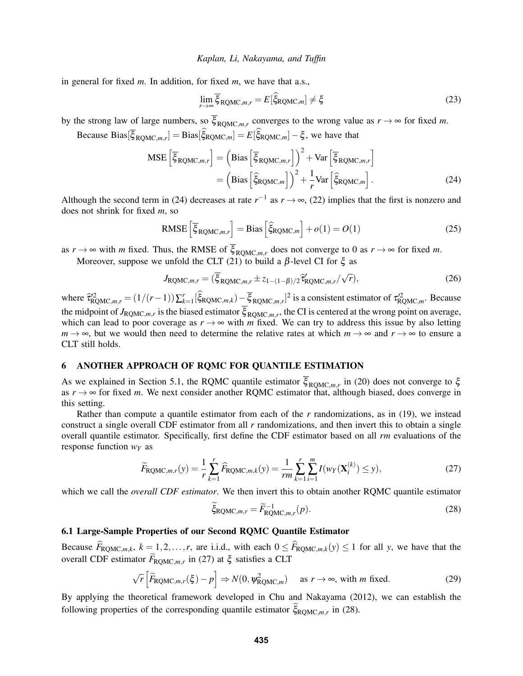in general for fixed *m*. In addition, for fixed *m*, we have that a.s.,

<span id="page-7-6"></span><span id="page-7-1"></span>
$$
\lim_{r \to \infty} \overline{\xi}_{\text{RQMC},m,r} = E[\hat{\xi}_{\text{RQMC},m}] \neq \xi \tag{23}
$$

by the strong law of large numbers, so  $\xi_{\text{RQMC},m,r}$  converges to the wrong value as  $r \to \infty$  for fixed *m*.

Because Bias $[\xi_{\text{ROMC},m,r}] = \text{Bias}[\xi_{\text{ROMC},m}] = E[\xi_{\text{RQMC},m}] - \xi$ , we have that

$$
\text{MSE}\left[\overline{\xi}_{\text{RQMC},m,r}\right] = \left(\text{Bias}\left[\overline{\xi}_{\text{RQMC},m,r}\right]\right)^2 + \text{Var}\left[\overline{\xi}_{\text{RQMC},m,r}\right] \n= \left(\text{Bias}\left[\widehat{\xi}_{\text{RQMC},m}\right]\right)^2 + \frac{1}{r} \text{Var}\left[\widehat{\xi}_{\text{RQMC},m}\right].
$$
\n(24)

Although the second term in [\(24\)](#page-7-1) decreases at rate  $r^{-1}$  as  $r \to \infty$ , [\(22\)](#page-6-2) implies that the first is nonzero and does not shrink for fixed *m*, so

<span id="page-7-5"></span>RMSE 
$$
\left[\overline{\xi}_{\text{RQMC},m,r}\right]
$$
 = Bias  $\left[\widehat{\xi}_{\text{RQMC},m}\right]$  +  $o(1) = O(1)$  (25)

as  $r \to \infty$  with *m* fixed. Thus, the RMSE of  $\xi_{\text{RQMC},m,r}$  does not converge to 0 as  $r \to \infty$  for fixed *m*. Moreover, suppose we unfold the CLT [\(21\)](#page-6-1) to build a β-level CI for  $\xi$  as

<span id="page-7-7"></span>
$$
J_{\text{RQMC},m,r} = (\overline{\xi}_{\text{RQMC},m,r} \pm z_{1-(1-\beta)/2} \widehat{\tau}_{\text{RQMC},m,r}' / \sqrt{r}), \qquad (26)
$$

where  $\hat{\tau}_{\text{RQMC},m,r}^{22} = (1/(r-1))\sum_{k=1}^{r}[\hat{\xi}_{\text{RQMC},m,k})-\overline{\xi}_{\text{RQMC},m,r}]^{2}$  is a consistent estimator of  $\tau_{\text{RQMC},m}^{22}$ . Because the midpoint of  $J_{\text{RQMC},m,r}$  is the biased estimator  $\xi_{\text{RQMC},m,r}$ , the CI is centered at the wrong point on average, which can lead to poor coverage as  $r \rightarrow \infty$  with *m* fixed. We can try to address this issue by also letting  $m \to \infty$ , but we would then need to determine the relative rates at which  $m \to \infty$  and  $r \to \infty$  to ensure a CLT still holds.

# <span id="page-7-0"></span>6 ANOTHER APPROACH OF RQMC FOR QUANTILE ESTIMATION

As we explained in Section [5.1,](#page-6-3) the RQMC quantile estimator  $\xi_{\text{RQMC},m,r}$  in [\(20\)](#page-6-0) does not converge to  $\xi$ as  $r \rightarrow \infty$  for fixed *m*. We next consider another RQMC estimator that, although biased, does converge in this setting.

Rather than compute a quantile estimator from each of the *r* randomizations, as in [\(19\)](#page-6-4), we instead construct a single overall CDF estimator from all *r* randomizations, and then invert this to obtain a single overall quantile estimator. Specifically, first define the CDF estimator based on all *rm* evaluations of the response function *w<sup>Y</sup>* as

<span id="page-7-2"></span>
$$
\widetilde{F}_{\text{RQMC},m,r}(y) = \frac{1}{r} \sum_{k=1}^{r} \widehat{F}_{\text{RQMC},m,k}(y) = \frac{1}{rm} \sum_{k=1}^{r} \sum_{i=1}^{m} I(w_{Y}(\mathbf{X}_{i}^{(k)}) \leq y), \tag{27}
$$

which we call the *overall CDF estimator*. We then invert this to obtain another RQMC quantile estimator

<span id="page-7-4"></span><span id="page-7-3"></span>
$$
\widetilde{\xi}_{\text{RQMC},m,r} = \widetilde{F}_{\text{RQMC},m,r}^{-1}(p). \tag{28}
$$

## 6.1 Large-Sample Properties of our Second RQMC Quantile Estimator

Because  $\widehat{F}_{\text{ROMC},m,k}$ ,  $k = 1, 2, ..., r$ , are i.i.d., with each  $0 \leq \widehat{F}_{\text{ROMC},m,k}(y) \leq 1$  for all *y*, we have that the overall CDF estimator  $F_{\text{RQMC},m,r}$  in [\(27\)](#page-7-2) at  $\xi$  satisfies a CLT

$$
\sqrt{r}\left[\widetilde{F}_{\text{RQMC},m,r}(\xi) - p\right] \Rightarrow N(0, \psi_{\text{RQMC},m}^2) \quad \text{as } r \to \infty \text{, with } m \text{ fixed.}
$$
 (29)

By applying the theoretical framework developed in [Chu and Nakayama \(2012\),](#page-10-14) we can establish the following properties of the corresponding quantile estimator  $\zeta_{\text{RQMC},m,r}$  in [\(28\)](#page-7-3).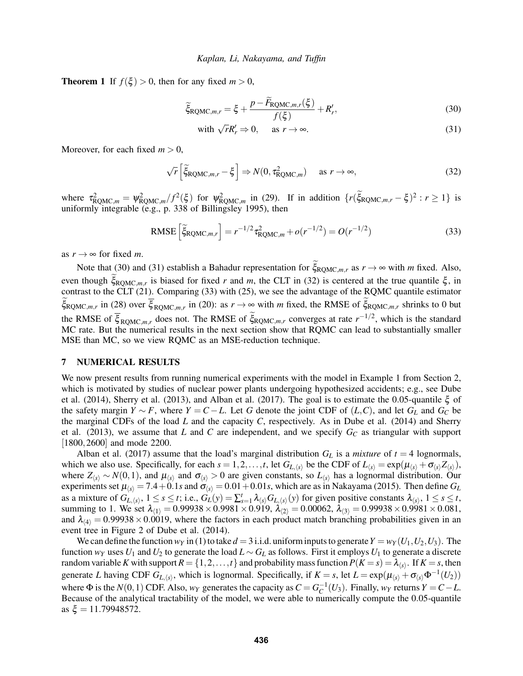**Theorem 1** If  $f(\xi) > 0$ , then for any fixed  $m > 0$ ,

$$
\widetilde{\xi}_{\text{RQMC},m,r} = \xi + \frac{p - \widetilde{F}_{\text{RQMC},m,r}(\xi)}{f(\xi)} + R'_r,\tag{30}
$$

<span id="page-8-2"></span><span id="page-8-1"></span>with 
$$
\sqrt{r}R'_r \Rightarrow 0
$$
, as  $r \to \infty$ . (31)

Moreover, for each fixed  $m > 0$ ,

<span id="page-8-3"></span>
$$
\sqrt{r}\left[\widetilde{\xi}_{\text{RQMC},m,r}-\xi\right] \Rightarrow N(0,\tau_{\text{RQMC},m}^2) \quad \text{as } r \to \infty,
$$
\n(32)

where  $\tau_{\text{ROMC},m}^2 = \psi_{\text{ROMC},m}^2 / f^2(\xi)$  for  $\psi_{\text{ROMC},m}^2$  in [\(29\)](#page-7-4). If in addition  $\{r(\xi_{\text{ROMC},m,r} - \xi)^2 : r \ge 1\}$  is uniformly integrable (e.g., p. 338 of [Billingsley 1995\)](#page-10-11), then

<span id="page-8-4"></span>RMSE 
$$
\left[\tilde{\xi}_{\text{RQMC},m,r}\right] = r^{-1/2} \tau_{\text{RQMC},m}^2 + o(r^{-1/2}) = O(r^{-1/2})
$$
 (33)

as  $r \rightarrow \infty$  for fixed *m*.

Note that [\(30\)](#page-8-1) and [\(31\)](#page-8-2) establish a Bahadur representation for  $\zeta_{\text{RQMC},m,r}$  as  $r \to \infty$  with *m* fixed. Also, even though  $\xi_{\text{ROMC},m,r}$  is biased for fixed *r* and *m*, the CLT in [\(32\)](#page-8-3) is centered at the true quantile  $\xi$ , in contrast to the CLT  $(21)$ . Comparing [\(33\)](#page-8-4) with [\(25\)](#page-7-5), we see the advantage of the RQMC quantile estimator  $\xi_{\text{ROMC},m,r}$  in [\(28\)](#page-7-3) over  $\xi_{\text{ROMC},m,r}$  in [\(20\)](#page-6-0): as  $r \to \infty$  with *m* fixed, the RMSE of  $\xi_{\text{ROMC},m,r}$  shrinks to 0 but the RMSE of  $\overline{\xi}_{\text{RQMC},m,r}$  does not. The RMSE of  $\overline{\xi}_{\text{RQMC},m,r}$  converges at rate  $r^{-1/2}$ , which is the standard MC rate. But the numerical results in the next section show that RQMC can lead to substantially smaller MSE than MC, so we view RQMC as an MSE-reduction technique.

## <span id="page-8-0"></span>7 NUMERICAL RESULTS

We now present results from running numerical experiments with the model in Example [1](#page-2-4) from Section [2,](#page-1-0) which is motivated by studies of nuclear power plants undergoing hypothesized accidents; e.g., see [Dube](#page-10-10) [et al. \(2014\),](#page-10-10) [Sherry et al. \(2013\),](#page-11-12) and [Alban et al. \(2017\).](#page-10-15) The goal is to estimate the 0.05-quantile ξ of the safety margin *Y* ∼ *F*, where *Y* = *C* − *L*. Let *G* denote the joint CDF of  $(L, C)$ , and let  $G<sub>L</sub>$  and  $G<sub>C</sub>$  be the marginal CDFs of the load *L* and the capacity *C*, respectively. As in [Dube et al. \(2014\)](#page-10-10) and [Sherry](#page-11-12) [et al. \(2013\),](#page-11-12) we assume that *L* and *C* are independent, and we specify *G<sup>C</sup>* as triangular with support [1800, 2600] and mode 2200.

[Alban et al. \(2017\)](#page-10-15) assume that the load's marginal distribution  $G_L$  is a *mixture* of  $t = 4$  lognormals, which we also use. Specifically, for each  $s = 1, 2, ..., t$ , let  $G_{L,\langle s \rangle}$  be the CDF of  $L_{\langle s \rangle} = \exp(\mu_{\langle s \rangle} + \sigma_{\langle s \rangle} Z_{\langle s \rangle}),$ where  $Z_{\langle s \rangle} \sim N(0,1)$ , and  $\mu_{\langle s \rangle}$  and  $\sigma_{\langle s \rangle} > 0$  are given constants, so  $L_{\langle s \rangle}$  has a lognormal distribution. Our experiments set  $\mu_{\langle s \rangle} = 7.4 + 0.1$ *s* and  $\sigma_{\langle s \rangle} = 0.01 + 0.01$ *s*, which are as in [Nakayama \(2015\).](#page-11-16) Then define  $G_L$ as a mixture of  $G_{L,\langle s \rangle}$ ,  $1 \le s \le t$ ; i.e.,  $G_L(y) = \sum_{s=1}^t \lambda_{\langle s \rangle} G_{L,\langle s \rangle}(y)$  for given positive constants  $\lambda_{\langle s \rangle}$ ,  $1 \le s \le t$ , summing to 1. We set  $\lambda_{(1)} = 0.99938 \times 0.9981 \times 0.919$ ,  $\lambda_{(2)} = 0.00062$ ,  $\lambda_{(3)} = 0.99938 \times 0.9981 \times 0.081$ , and  $\lambda_{\langle 4 \rangle} = 0.99938 \times 0.0019$ , where the factors in each product match branching probabilities given in an event tree in Figure 2 of [Dube et al. \(2014\).](#page-10-10)

We can define the function  $w_Y$  in [\(1\)](#page-1-2) to take  $d = 3$  i.i.d. uniform inputs to generate  $Y = w_Y(U_1, U_2, U_3)$ . The function  $w_Y$  uses  $U_1$  and  $U_2$  to generate the load  $L \sim G_L$  as follows. First it employs  $U_1$  to generate a discrete random variable  $K$  with support  $R = \{1,2,\ldots,t\}$  and probability mass function  $P(K=s) = \lambda_{\langle s \rangle}$ . If  $K=s,$  then generate *L* having CDF  $G_{L,\langle s \rangle}$ , which is lognormal. Specifically, if  $K = s$ , let  $L = \exp(\mu_{\langle s \rangle} + \sigma_{\langle s \rangle} \Phi^{-1}(U_2))$ where  $\Phi$  is the *N*(0,1) CDF. Also,  $w_Y$  generates the capacity as  $C = G_C^{-1}(U_3)$ . Finally,  $w_Y$  returns  $Y = C - L$ . Because of the analytical tractability of the model, we were able to numerically compute the 0.05-quantile as  $\xi = 11.79948572$ .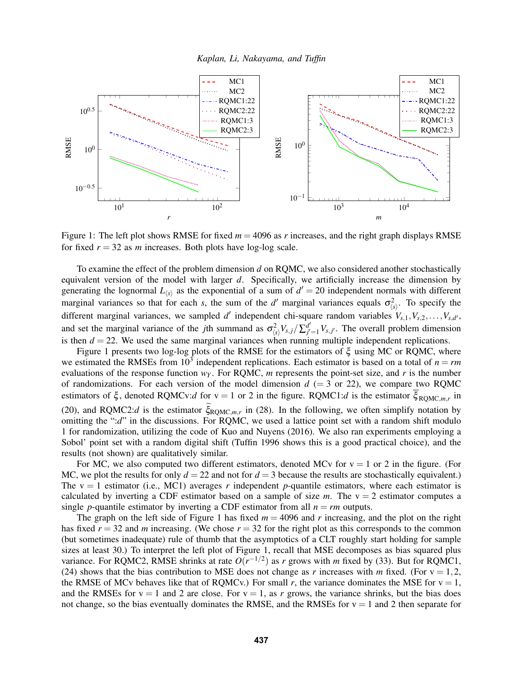



<span id="page-9-0"></span>Figure 1: The left plot shows RMSE for fixed  $m = 4096$  as r increases, and the right graph displays RMSE for fixed  $r = 32$  as *m* increases. Both plots have log-log scale.

To examine the effect of the problem dimension *d* on RQMC, we also considered another stochastically equivalent version of the model with larger *d*. Specifically, we artificially increase the dimension by generating the lognormal  $L_{\langle s \rangle}$  as the exponential of a sum of  $d' = 20$  independent normals with different marginal variances so that for each *s*, the sum of the *d'* marginal variances equals  $\sigma_{\langle s \rangle}^2$ . To specify the different marginal variances, we sampled *d'* independent chi-square random variables  $V_{s,1}, V_{s,2}, \ldots, V_{s,d}$ and set the marginal variance of the *j*th summand as  $\sigma_{\langle s \rangle}^2 V_{s,j} / \sum_{j'}^{d'}$  $g''_{j'=1}$   $V_{s,j'}$ . The overall problem dimension is then  $d = 22$ . We used the same marginal variances when running multiple independent replications.

Figure [1](#page-9-0) presents two log-log plots of the RMSE for the estimators of ξ using MC or RQMC, where we estimated the RMSEs from  $10^3$  independent replications. Each estimator is based on a total of  $n = rm$ evaluations of the response function  $w<sub>Y</sub>$ . For RQMC, *m* represents the point-set size, and *r* is the number of randomizations. For each version of the model dimension  $d$  (= 3 or 22), we compare two RQMC estimators of  $\xi$ , denoted RQMCv:*d* for v = 1 or 2 in the figure. RQMC1:*d* is the estimator  $\xi_{\text{RQMC},m,r}$  in [\(20\)](#page-6-0), and RQMC2:*d* is the estimator  $\xi_{\text{ROMC},m,r}$  in [\(28\)](#page-7-3). In the following, we often simplify notation by omitting the ":*d*" in the discussions. For RQMC, we used a lattice point set with a random shift modulo 1 for randomization, utilizing the code of [Kuo and Nuyens \(2016\).](#page-10-16) We also ran experiments employing a Sobol' point set with a random digital shift [\(Tuffin 1996](#page-11-5) shows this is a good practical choice), and the results (not shown) are qualitatively similar.

For MC, we also computed two different estimators, denoted MCv for  $v = 1$  or 2 in the figure. (For MC, we plot the results for only  $d = 22$  and not for  $d = 3$  because the results are stochastically equivalent.) The  $v = 1$  estimator (i.e., MC1) averages *r* independent *p*-quantile estimators, where each estimator is calculated by inverting a CDF estimator based on a sample of size  $m$ . The  $v = 2$  estimator computes a single *p*-quantile estimator by inverting a CDF estimator from all  $n = rm$  outputs.

The graph on the left side of Figure [1](#page-9-0) has fixed  $m = 4096$  and r increasing, and the plot on the right has fixed  $r = 32$  and *m* increasing. (We chose  $r = 32$  for the right plot as this corresponds to the common (but sometimes inadequate) rule of thumb that the asymptotics of a CLT roughly start holding for sample sizes at least 30.) To interpret the left plot of Figure [1,](#page-9-0) recall that MSE decomposes as bias squared plus variance. For RQMC2, RMSE shrinks at rate  $O(r^{-1/2})$  as *r* grows with *m* fixed by [\(33\)](#page-8-4). But for RQMC1, [\(24\)](#page-7-1) shows that the bias contribution to MSE does not change as *r* increases with *m* fixed. (For  $v = 1, 2$ , the RMSE of MCv behaves like that of RQMCv.) For small r, the variance dominates the MSE for  $v = 1$ , and the RMSEs for  $v = 1$  and 2 are close. For  $v = 1$ , as r grows, the variance shrinks, but the bias does not change, so the bias eventually dominates the RMSE, and the RMSEs for  $v = 1$  and 2 then separate for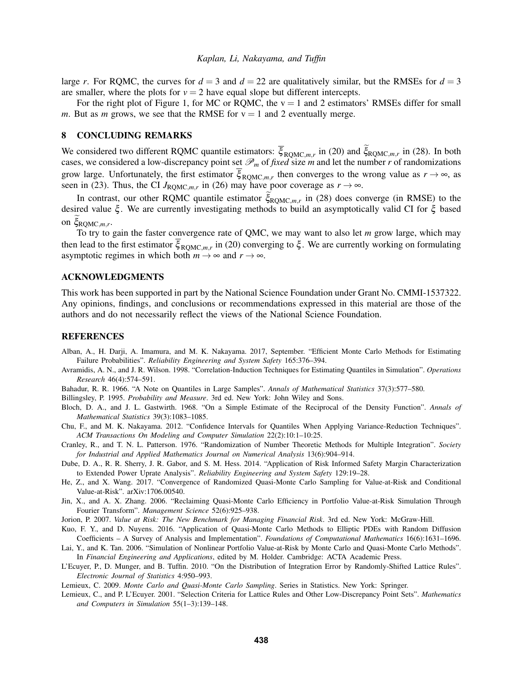large *r*. For RQMC, the curves for  $d = 3$  and  $d = 22$  are qualitatively similar, but the RMSEs for  $d = 3$ are smaller, where the plots for  $v = 2$  have equal slope but different intercepts.

For the right plot of Figure [1,](#page-9-0) for MC or RQMC, the  $v = 1$  and 2 estimators' RMSEs differ for small *m*. But as *m* grows, we see that the RMSE for  $v = 1$  and 2 eventually merge.

# <span id="page-10-9"></span>8 CONCLUDING REMARKS

We considered two different RQMC quantile estimators:  $\xi_{\text{ROMC},m,r}$  in [\(20\)](#page-6-0) and  $\xi_{\text{ROMC},m,r}$  in [\(28\)](#page-7-3). In both cases, we considered a low-discrepancy point set  $\mathcal{P}_m$  of *fixed* size *m* and let the number *r* of randomizations grow large. Unfortunately, the first estimator  $\xi_{\text{RQMC},m,r}$  then converges to the wrong value as  $r \to \infty$ , as seen in [\(23\)](#page-7-6). Thus, the CI  $J_{\text{RQMC},m,r}$  in [\(26\)](#page-7-7) may have poor coverage as  $r \to \infty$ .

In contrast, our other RQMC quantile estimator  $\xi_{\text{RQMC},m,r}$  in [\(28\)](#page-7-3) does converge (in RMSE) to the desired value ξ . We are currently investigating methods to build an asymptotically valid CI for ξ based on  $\xi_{\text{RQMC},m,r}$ .

To try to gain the faster convergence rate of QMC, we may want to also let *m* grow large, which may then lead to the first estimator  $\xi_{\text{RQMC},m,r}$  in [\(20\)](#page-6-0) converging to  $\xi$ . We are currently working on formulating asymptotic regimes in which both  $m \to \infty$  and  $r \to \infty$ .

# ACKNOWLEDGMENTS

This work has been supported in part by the National Science Foundation under Grant No. CMMI-1537322. Any opinions, findings, and conclusions or recommendations expressed in this material are those of the authors and do not necessarily reflect the views of the National Science Foundation.

## **REFERENCES**

- <span id="page-10-15"></span>Alban, A., H. Darji, A. Imamura, and M. K. Nakayama. 2017, September. "Efficient Monte Carlo Methods for Estimating Failure Probabilities". *Reliability Engineering and System Safety* 165:376–394.
- <span id="page-10-12"></span>Avramidis, A. N., and J. R. Wilson. 1998. "Correlation-Induction Techniques for Estimating Quantiles in Simulation". *Operations Research* 46(4):574–591.
- <span id="page-10-8"></span>Bahadur, R. R. 1966. "A Note on Quantiles in Large Samples". *Annals of Mathematical Statistics* 37(3):577–580.
- <span id="page-10-11"></span>Billingsley, P. 1995. *Probability and Measure*. 3rd ed. New York: John Wiley and Sons.
- <span id="page-10-13"></span>Bloch, D. A., and J. L. Gastwirth. 1968. "On a Simple Estimate of the Reciprocal of the Density Function". *Annals of Mathematical Statistics* 39(3):1083–1085.
- <span id="page-10-14"></span>Chu, F., and M. K. Nakayama. 2012. "Confidence Intervals for Quantiles When Applying Variance-Reduction Techniques". *ACM Transactions On Modeling and Computer Simulation* 22(2):10:1–10:25.
- <span id="page-10-2"></span>Cranley, R., and T. N. L. Patterson. 1976. "Randomization of Number Theoretic Methods for Multiple Integration". *Society for Industrial and Applied Mathematics Journal on Numerical Analysis* 13(6):904–914.
- <span id="page-10-10"></span>Dube, D. A., R. R. Sherry, J. R. Gabor, and S. M. Hess. 2014. "Application of Risk Informed Safety Margin Characterization to Extended Power Uprate Analysis". *Reliability Engineering and System Safety* 129:19–28.
- <span id="page-10-6"></span>He, Z., and X. Wang. 2017. "Convergence of Randomized Quasi-Monte Carlo Sampling for Value-at-Risk and Conditional Value-at-Risk". arXiv:1706.00540.
- <span id="page-10-4"></span>Jin, X., and A. X. Zhang. 2006. "Reclaiming Quasi-Monte Carlo Efficiency in Portfolio Value-at-Risk Simulation Through Fourier Transform". *Management Science* 52(6):925–938.
- <span id="page-10-0"></span>Jorion, P. 2007. *Value at Risk: The New Benchmark for Managing Financial Risk*. 3rd ed. New York: McGraw-Hill.
- <span id="page-10-16"></span>Kuo, F. Y., and D. Nuyens. 2016. "Application of Quasi-Monte Carlo Methods to Elliptic PDEs with Random Diffusion Coefficients – A Survey of Analysis and Implementation". *Foundations of Computational Mathematics* 16(6):1631–1696.
- <span id="page-10-5"></span>Lai, Y., and K. Tan. 2006. "Simulation of Nonlinear Portfolio Value-at-Risk by Monte Carlo and Quasi-Monte Carlo Methods". In *Financial Engineering and Applications*, edited by M. Holder. Cambridge: ACTA Academic Press.
- <span id="page-10-7"></span>L'Ecuyer, P., D. Munger, and B. Tuffin. 2010. "On the Distribution of Integration Error by Randomly-Shifted Lattice Rules". *Electronic Journal of Statistics* 4:950–993.
- <span id="page-10-1"></span>Lemieux, C. 2009. *Monte Carlo and Quasi-Monte Carlo Sampling*. Series in Statistics. New York: Springer.
- <span id="page-10-3"></span>Lemieux, C., and P. L'Ecuyer. 2001. "Selection Criteria for Lattice Rules and Other Low-Discrepancy Point Sets". *Mathematics and Computers in Simulation* 55(1–3):139–148.